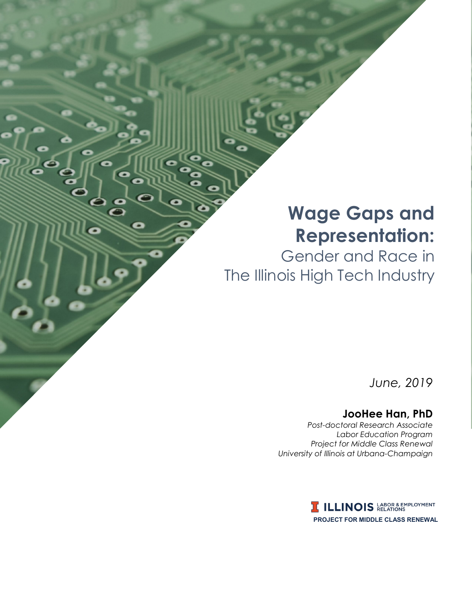# **Wage Gaps and Representation:**

Gender and Race in The Illinois High Tech Industry

*Wage Gaps and Representation: Gender and Race in The Illinois High Tech Industry* i

*June, 2019*

## **JooHee Han, PhD**

*Post-doctoral Research Associate Labor Education Program Project for Middle Class Renewal University of Illinois at Urbana-Champaign*

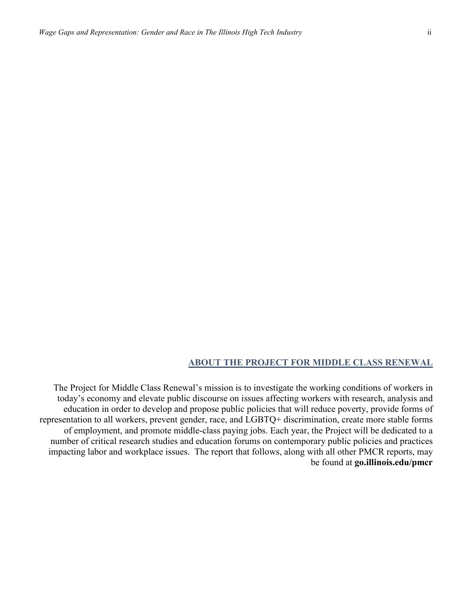#### **ABOUT THE PROJECT FOR MIDDLE CLASS RENEWAL**

The Project for Middle Class Renewal's mission is to investigate the working conditions of workers in today's economy and elevate public discourse on issues affecting workers with research, analysis and education in order to develop and propose public policies that will reduce poverty, provide forms of representation to all workers, prevent gender, race, and LGBTQ+ discrimination, create more stable forms of employment, and promote middle-class paying jobs. Each year, the Project will be dedicated to a number of critical research studies and education forums on contemporary public policies and practices impacting labor and workplace issues. The report that follows, along with all other PMCR reports, may be found at **go.illinois.edu/pmcr**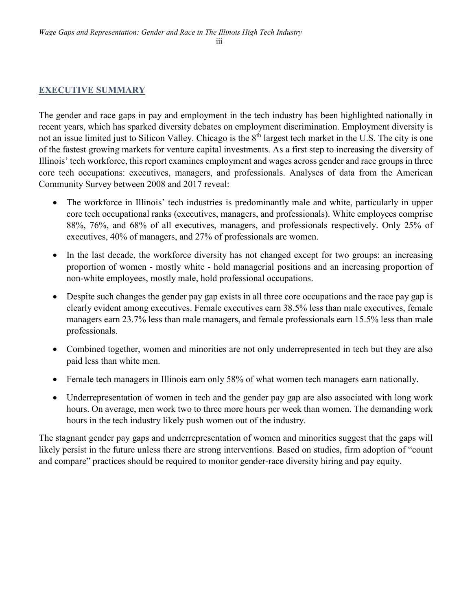## **EXECUTIVE SUMMARY**

The gender and race gaps in pay and employment in the tech industry has been highlighted nationally in recent years, which has sparked diversity debates on employment discrimination. Employment diversity is not an issue limited just to Silicon Valley. Chicago is the 8<sup>th</sup> largest tech market in the U.S. The city is one of the fastest growing markets for venture capital investments. As a first step to increasing the diversity of Illinois' tech workforce, this report examines employment and wages across gender and race groups in three core tech occupations: executives, managers, and professionals. Analyses of data from the American Community Survey between 2008 and 2017 reveal:

- The workforce in Illinois' tech industries is predominantly male and white, particularly in upper core tech occupational ranks (executives, managers, and professionals). White employees comprise 88%, 76%, and 68% of all executives, managers, and professionals respectively. Only 25% of executives, 40% of managers, and 27% of professionals are women.
- In the last decade, the workforce diversity has not changed except for two groups: an increasing proportion of women - mostly white - hold managerial positions and an increasing proportion of non-white employees, mostly male, hold professional occupations.
- Despite such changes the gender pay gap exists in all three core occupations and the race pay gap is clearly evident among executives. Female executives earn 38.5% less than male executives, female managers earn 23.7% less than male managers, and female professionals earn 15.5% less than male professionals.
- Combined together, women and minorities are not only underrepresented in tech but they are also paid less than white men.
- Female tech managers in Illinois earn only 58% of what women tech managers earn nationally.
- Underrepresentation of women in tech and the gender pay gap are also associated with long work hours. On average, men work two to three more hours per week than women. The demanding work hours in the tech industry likely push women out of the industry.

The stagnant gender pay gaps and underrepresentation of women and minorities suggest that the gaps will likely persist in the future unless there are strong interventions. Based on studies, firm adoption of "count and compare" practices should be required to monitor gender-race diversity hiring and pay equity.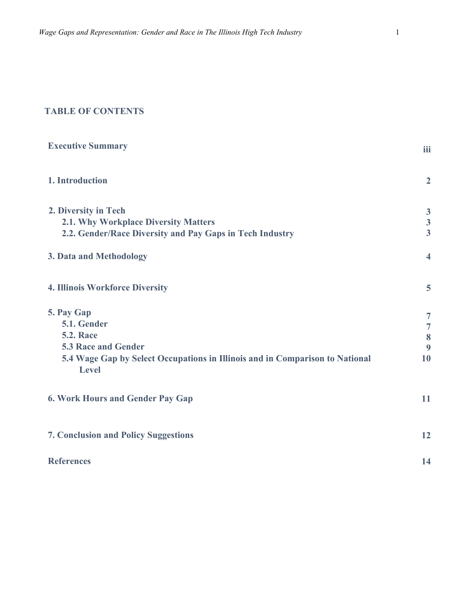## **TABLE OF CONTENTS**

| <b>Executive Summary</b>                                                              | iii                     |
|---------------------------------------------------------------------------------------|-------------------------|
| 1. Introduction                                                                       | $\overline{2}$          |
| 2. Diversity in Tech                                                                  |                         |
| <b>2.1. Why Workplace Diversity Matters</b>                                           | $\frac{3}{3}$           |
| 2.2. Gender/Race Diversity and Pay Gaps in Tech Industry                              | $\overline{3}$          |
| 3. Data and Methodology                                                               | $\overline{\mathbf{4}}$ |
| <b>4. Illinois Workforce Diversity</b>                                                | 5                       |
| 5. Pay Gap                                                                            | $\overline{7}$          |
| 5.1. Gender                                                                           | $\overline{7}$          |
| <b>5.2. Race</b>                                                                      | 8                       |
| <b>5.3 Race and Gender</b>                                                            | 9                       |
| 5.4 Wage Gap by Select Occupations in Illinois and in Comparison to National<br>Level | 10                      |
| <b>6. Work Hours and Gender Pay Gap</b>                                               | 11                      |
| <b>7. Conclusion and Policy Suggestions</b>                                           | 12                      |
| <b>References</b>                                                                     | 14                      |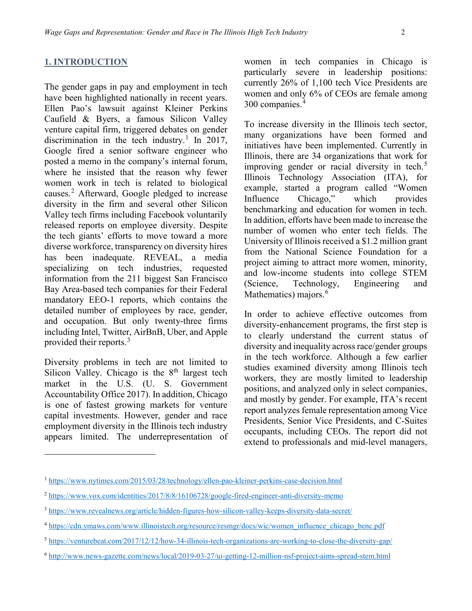#### **1. INTRODUCTION**

The gender gaps in pay and employment in tech have been highlighted nationally in recent years. Ellen Pao's lawsuit against Kleiner Perkins Caufield & Byers, a famous Silicon Valley venture capital firm, triggered debates on gender discrimination in the tech industry.<sup>[1](#page-4-0)</sup> In 2017, Google fired a senior software engineer who posted a memo in the company's internal forum, where he insisted that the reason why fewer women work in tech is related to biological causes.[2](#page-4-1) Afterward, Google pledged to increase diversity in the firm and several other Silicon Valley tech firms including Facebook voluntarily released reports on employee diversity. Despite the tech giants' efforts to move toward a more diverse workforce, transparency on diversity hires has been inadequate. REVEAL, a media specializing on tech industries, requested information from the 211 biggest San Francisco Bay Area-based tech companies for their Federal mandatory EEO-1 reports, which contains the detailed number of employees by race, gender, and occupation. But only twenty-three firms including Intel, Twitter, AirBnB, Uber, and Apple provided their reports.[3](#page-4-2)

Diversity problems in tech are not limited to Silicon Valley. Chicago is the  $8<sup>th</sup>$  largest tech market in the U.S. (U. S. Government Accountability Office 2017). In addition, Chicago is one of fastest growing markets for venture capital investments. However, gender and race employment diversity in the Illinois tech industry appears limited. The underrepresentation of

 $\overline{a}$ 

women in tech companies in Chicago is particularly severe in leadership positions: currently 26% of 1,100 tech Vice Presidents are women and only 6% of CEOs are female among 300 companies.<sup>[4](#page-4-3)</sup>

To increase diversity in the Illinois tech sector, many organizations have been formed and initiatives have been implemented. Currently in Illinois, there are 34 organizations that work for improving gender or racial diversity in tech. $5$ Illinois Technology Association (ITA), for example, started a program called "Women Influence Chicago," which provides benchmarking and education for women in tech. In addition, efforts have been made to increase the number of women who enter tech fields. The University of Illinois received a \$1.2 million grant from the National Science Foundation for a project aiming to attract more women, minority, and low-income students into college STEM (Science, Technology, Engineering and Mathematics) majors.<sup>[6](#page-4-5)</sup>

In order to achieve effective outcomes from diversity-enhancement programs, the first step is to clearly understand the current status of diversity and inequality across race/gender groups in the tech workforce. Although a few earlier studies examined diversity among Illinois tech workers, they are mostly limited to leadership positions, and analyzed only in select companies, and mostly by gender. For example, ITA's recent report analyzes female representation among Vice Presidents, Senior Vice Presidents, and C-Suites occupants, including CEOs. The report did not extend to professionals and mid-level managers,

<span id="page-4-0"></span><sup>1</sup> <https://www.nytimes.com/2015/03/28/technology/ellen-pao-kleiner-perkins-case-decision.html>

<span id="page-4-1"></span><sup>2</sup> <https://www.vox.com/identities/2017/8/8/16106728/google-fired-engineer-anti-diversity-memo>

<span id="page-4-2"></span><sup>3</sup> <https://www.revealnews.org/article/hidden-figures-how-silicon-valley-keeps-diversity-data-secret/>

<span id="page-4-3"></span><sup>4</sup> [https://cdn.ymaws.com/www.illinoistech.org/resource/resmgr/docs/wic/women\\_influence\\_chicago\\_benc.pdf](https://cdn.ymaws.com/www.illinoistech.org/resource/resmgr/docs/wic/women_influence_chicago_benc.pdf)

<span id="page-4-4"></span><sup>5</sup> <https://venturebeat.com/2017/12/12/how-34-illinois-tech-organizations-are-working-to-close-the-diversity-gap/>

<span id="page-4-5"></span><sup>6</sup> <http://www.news-gazette.com/news/local/2019-03-27/ui-getting-12-million-nsf-project-aims-spread-stem.html>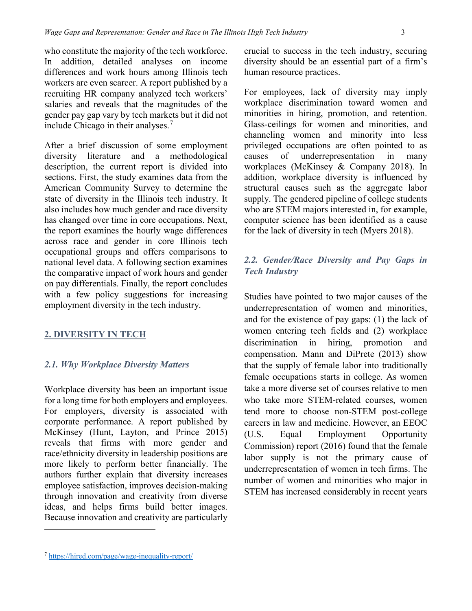who constitute the majority of the tech workforce. In addition, detailed analyses on income differences and work hours among Illinois tech workers are even scarcer. A report published by a recruiting HR company analyzed tech workers' salaries and reveals that the magnitudes of the gender pay gap vary by tech markets but it did not include Chicago in their analyses.[7](#page-5-0)

After a brief discussion of some employment diversity literature and a methodological description, the current report is divided into sections. First, the study examines data from the American Community Survey to determine the state of diversity in the Illinois tech industry. It also includes how much gender and race diversity has changed over time in core occupations. Next, the report examines the hourly wage differences across race and gender in core Illinois tech occupational groups and offers comparisons to national level data. A following section examines the comparative impact of work hours and gender on pay differentials. Finally, the report concludes with a few policy suggestions for increasing employment diversity in the tech industry.

#### **2. DIVERSITY IN TECH**

#### *2.1. Why Workplace Diversity Matters*

Workplace diversity has been an important issue for a long time for both employers and employees. For employers, diversity is associated with corporate performance. A report published by McKinsey (Hunt, Layton, and Prince 2015) reveals that firms with more gender and race/ethnicity diversity in leadership positions are more likely to perform better financially. The authors further explain that diversity increases employee satisfaction, improves decision-making through innovation and creativity from diverse ideas, and helps firms build better images. Because innovation and creativity are particularly For employees, lack of diversity may imply workplace discrimination toward women and minorities in hiring, promotion, and retention. Glass-ceilings for women and minorities, and channeling women and minority into less privileged occupations are often pointed to as causes of underrepresentation in many workplaces (McKinsey & Company 2018). In addition, workplace diversity is influenced by structural causes such as the aggregate labor supply. The gendered pipeline of college students who are STEM majors interested in, for example, computer science has been identified as a cause for the lack of diversity in tech (Myers 2018).

## *2.2. Gender/Race Diversity and Pay Gaps in Tech Industry*

Studies have pointed to two major causes of the underrepresentation of women and minorities, and for the existence of pay gaps: (1) the lack of women entering tech fields and (2) workplace discrimination in hiring, promotion and compensation. Mann and DiPrete (2013) show that the supply of female labor into traditionally female occupations starts in college. As women take a more diverse set of courses relative to men who take more STEM-related courses, women tend more to choose non-STEM post-college careers in law and medicine. However, an EEOC (U.S. Equal Employment Opportunity Commission) report (2016) found that the female labor supply is not the primary cause of underrepresentation of women in tech firms. The number of women and minorities who major in STEM has increased considerably in recent years

 $\overline{a}$ 

crucial to success in the tech industry, securing diversity should be an essential part of a firm's human resource practices.

<span id="page-5-0"></span><sup>7</sup> <https://hired.com/page/wage-inequality-report/>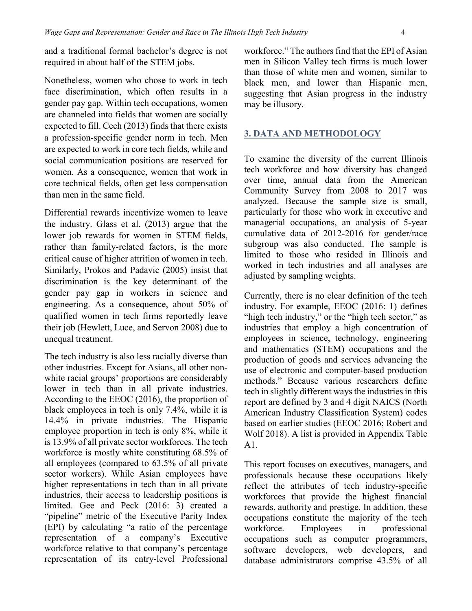and a traditional formal bachelor's degree is not required in about half of the STEM jobs.

Nonetheless, women who chose to work in tech face discrimination, which often results in a gender pay gap. Within tech occupations, women are channeled into fields that women are socially expected to fill. Cech (2013) finds that there exists a profession-specific gender norm in tech. Men are expected to work in core tech fields, while and social communication positions are reserved for women. As a consequence, women that work in core technical fields, often get less compensation than men in the same field.

Differential rewards incentivize women to leave the industry. Glass et al. (2013) argue that the lower job rewards for women in STEM fields, rather than family-related factors, is the more critical cause of higher attrition of women in tech. Similarly, Prokos and Padavic (2005) insist that discrimination is the key determinant of the gender pay gap in workers in science and engineering. As a consequence, about 50% of qualified women in tech firms reportedly leave their job (Hewlett, Luce, and Servon 2008) due to unequal treatment.

The tech industry is also less racially diverse than other industries. Except for Asians, all other nonwhite racial groups' proportions are considerably lower in tech than in all private industries. According to the EEOC (2016), the proportion of black employees in tech is only 7.4%, while it is 14.4% in private industries. The Hispanic employee proportion in tech is only 8%, while it is 13.9% of all private sector workforces. The tech workforce is mostly white constituting 68.5% of all employees (compared to 63.5% of all private sector workers). While Asian employees have higher representations in tech than in all private industries, their access to leadership positions is limited. Gee and Peck (2016: 3) created a "pipeline" metric of the Executive Parity Index (EPI) by calculating "a ratio of the percentage representation of a company's Executive workforce relative to that company's percentage representation of its entry-level Professional workforce." The authors find that the EPI of Asian men in Silicon Valley tech firms is much lower than those of white men and women, similar to black men, and lower than Hispanic men, suggesting that Asian progress in the industry may be illusory.

#### **3. DATA AND METHODOLOGY**

To examine the diversity of the current Illinois tech workforce and how diversity has changed over time, annual data from the American Community Survey from 2008 to 2017 was analyzed. Because the sample size is small, particularly for those who work in executive and managerial occupations, an analysis of 5-year cumulative data of 2012-2016 for gender/race subgroup was also conducted. The sample is limited to those who resided in Illinois and worked in tech industries and all analyses are adjusted by sampling weights.

Currently, there is no clear definition of the tech industry. For example, EEOC (2016: 1) defines "high tech industry," or the "high tech sector," as industries that employ a high concentration of employees in science, technology, engineering and mathematics (STEM) occupations and the production of goods and services advancing the use of electronic and computer-based production methods." Because various researchers define tech in slightly different ways the industries in this report are defined by 3 and 4 digit NAICS (North American Industry Classification System) codes based on earlier studies (EEOC 2016; Robert and Wolf 2018). A list is provided in Appendix Table A1.

This report focuses on executives, managers, and professionals because these occupations likely reflect the attributes of tech industry-specific workforces that provide the highest financial rewards, authority and prestige. In addition, these occupations constitute the majority of the tech workforce. Employees in professional occupations such as computer programmers, software developers, web developers, and database administrators comprise 43.5% of all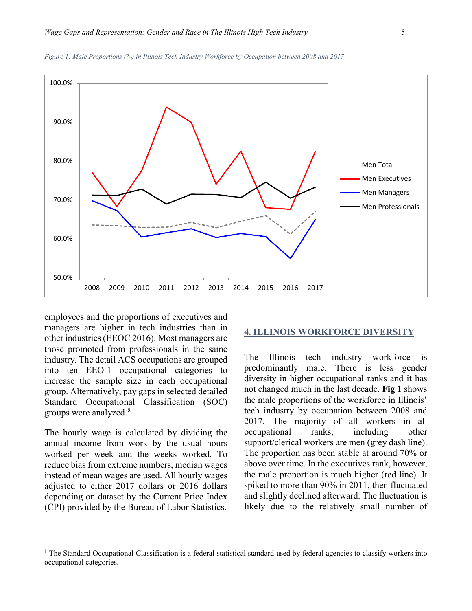

*Figure 1: Male Proportions (%) in Illinois Tech Industry Workforce by Occupation between 2008 and 2017*

employees and the proportions of executives and managers are higher in tech industries than in other industries (EEOC 2016). Most managers are those promoted from professionals in the same industry. The detail ACS occupations are grouped into ten EEO-1 occupational categories to increase the sample size in each occupational group. Alternatively, pay gaps in selected detailed Standard Occupational Classification (SOC) groups were analyzed.<sup>[8](#page-7-0)</sup>

The hourly wage is calculated by dividing the annual income from work by the usual hours worked per week and the weeks worked. To reduce bias from extreme numbers, median wages instead of mean wages are used. All hourly wages adjusted to either 2017 dollars or 2016 dollars depending on dataset by the Current Price Index (CPI) provided by the Bureau of Labor Statistics.

 $\overline{a}$ 

#### **4. ILLINOIS WORKFORCE DIVERSITY**

The Illinois tech industry workforce is predominantly male. There is less gender diversity in higher occupational ranks and it has not changed much in the last decade. **Fig 1** shows the male proportions of the workforce in Illinois' tech industry by occupation between 2008 and 2017. The majority of all workers in all occupational ranks, including other support/clerical workers are men (grey dash line). The proportion has been stable at around 70% or above over time. In the executives rank, however, the male proportion is much higher (red line). It spiked to more than 90% in 2011, then fluctuated and slightly declined afterward. The fluctuation is likely due to the relatively small number of

<span id="page-7-0"></span><sup>&</sup>lt;sup>8</sup> The Standard Occupational Classification is a federal statistical standard used by federal agencies to classify workers into occupational categories.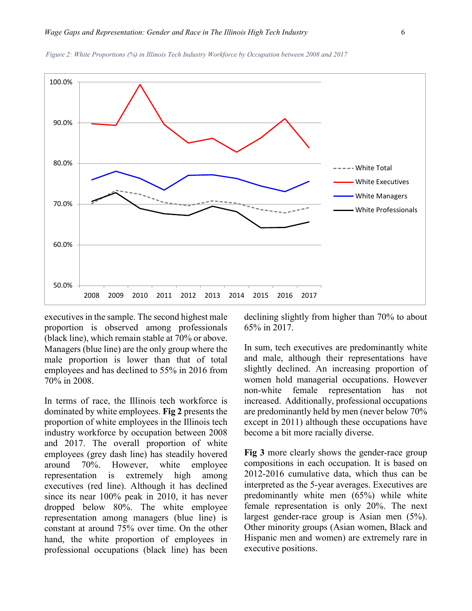

*Figure 2: White Proportions (%) in Illinois Tech Industry Workforce by Occupation between 2008 and 2017*

executives in the sample. The second highest male proportion is observed among professionals (black line), which remain stable at 70% or above. Managers (blue line) are the only group where the male proportion is lower than that of total employees and has declined to 55% in 2016 from 70% in 2008.

In terms of race, the Illinois tech workforce is dominated by white employees. **Fig 2** presents the proportion of white employees in the Illinois tech industry workforce by occupation between 2008 and 2017. The overall proportion of white employees (grey dash line) has steadily hovered around 70%. However, white employee representation is extremely high among executives (red line). Although it has declined since its near 100% peak in 2010, it has never dropped below 80%. The white employee representation among managers (blue line) is constant at around 75% over time. On the other hand, the white proportion of employees in professional occupations (black line) has been declining slightly from higher than 70% to about 65% in 2017.

In sum, tech executives are predominantly white and male, although their representations have slightly declined. An increasing proportion of women hold managerial occupations. However non-white female representation has not increased. Additionally, professional occupations are predominantly held by men (never below 70% except in 2011) although these occupations have become a bit more racially diverse.

**Fig 3** more clearly shows the gender-race group compositions in each occupation. It is based on 2012-2016 cumulative data, which thus can be interpreted as the 5-year averages. Executives are predominantly white men (65%) while white female representation is only 20%. The next largest gender-race group is Asian men (5%). Other minority groups (Asian women, Black and Hispanic men and women) are extremely rare in executive positions.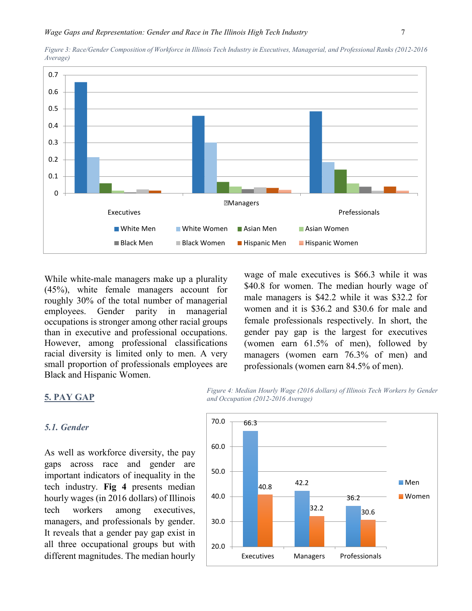

*Figure 3: Race/Gender Composition of Workforce in Illinois Tech Industry in Executives, Managerial, and Professional Ranks (2012-2016 Average)*

While white-male managers make up a plurality (45%), white female managers account for roughly 30% of the total number of managerial employees. Gender parity in managerial occupations is stronger among other racial groups than in executive and professional occupations. However, among professional classifications racial diversity is limited only to men. A very small proportion of professionals employees are Black and Hispanic Women.

wage of male executives is \$66.3 while it was \$40.8 for women. The median hourly wage of male managers is \$42.2 while it was \$32.2 for women and it is \$36.2 and \$30.6 for male and female professionals respectively. In short, the gender pay gap is the largest for executives (women earn 61.5% of men), followed by managers (women earn 76.3% of men) and professionals (women earn 84.5% of men).

#### **5. PAY GAP**

#### *5.1. Gender*

As well as workforce diversity, the pay gaps across race and gender are important indicators of inequality in the tech industry. **Fig 4** presents median hourly wages (in 2016 dollars) of Illinois tech workers among executives, managers, and professionals by gender. It reveals that a gender pay gap exist in all three occupational groups but with different magnitudes. The median hourly *Figure 4: Median Hourly Wage (2016 dollars) of Illinois Tech Workers by Gender and Occupation (2012-2016 Average)*

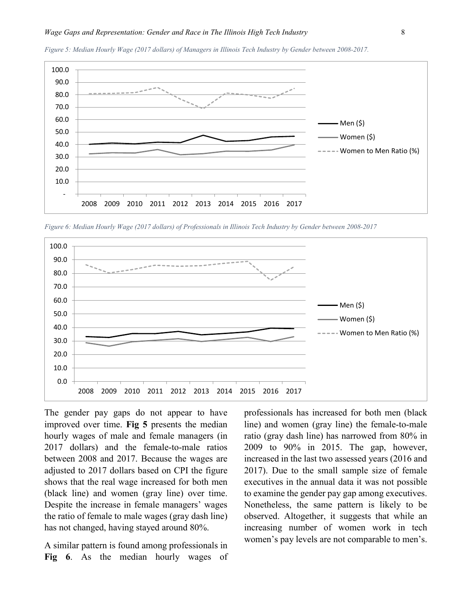

*Figure 5: Median Hourly Wage (2017 dollars) of Managers in Illinois Tech Industry by Gender between 2008-2017.*

*Figure 6: Median Hourly Wage (2017 dollars) of Professionals in Illinois Tech Industry by Gender between 2008-2017*



The gender pay gaps do not appear to have improved over time. **Fig 5** presents the median hourly wages of male and female managers (in 2017 dollars) and the female-to-male ratios between 2008 and 2017. Because the wages are adjusted to 2017 dollars based on CPI the figure shows that the real wage increased for both men (black line) and women (gray line) over time. Despite the increase in female managers' wages the ratio of female to male wages (gray dash line) has not changed, having stayed around 80%.

A similar pattern is found among professionals in **Fig 6**. As the median hourly wages of professionals has increased for both men (black line) and women (gray line) the female-to-male ratio (gray dash line) has narrowed from 80% in 2009 to 90% in 2015. The gap, however, increased in the last two assessed years (2016 and 2017). Due to the small sample size of female executives in the annual data it was not possible to examine the gender pay gap among executives. Nonetheless, the same pattern is likely to be observed. Altogether, it suggests that while an increasing number of women work in tech women's pay levels are not comparable to men's.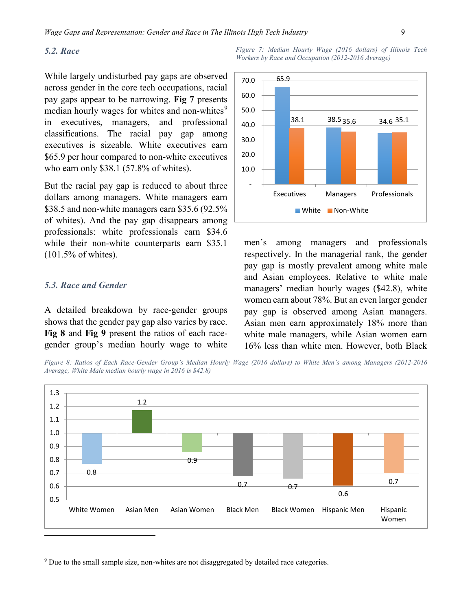#### *5.2. Race*

While largely undisturbed pay gaps are observed across gender in the core tech occupations, racial pay gaps appear to be narrowing. **Fig 7** presents median hourly wages for whites and non-whites<sup>[9](#page-11-0)</sup> in executives, managers, and professional classifications. The racial pay gap among executives is sizeable. White executives earn \$65.9 per hour compared to non-white executives who earn only \$38.1 (57.8% of whites).

But the racial pay gap is reduced to about three dollars among managers. White managers earn \$38.5 and non-white managers earn \$35.6 (92.5%) of whites). And the pay gap disappears among professionals: white professionals earn \$34.6 while their non-white counterparts earn \$35.1 (101.5% of whites).

#### *5.3. Race and Gender*

A detailed breakdown by race-gender groups shows that the gender pay gap also varies by race. **Fig 8** and **Fig 9** present the ratios of each racegender group's median hourly wage to white



*Figure 7: Median Hourly Wage (2016 dollars) of Illinois Tech* 

*Workers by Race and Occupation (2012-2016 Average)*

White Non-White

men's among managers and professionals respectively. In the managerial rank, the gender pay gap is mostly prevalent among white male and Asian employees. Relative to white male managers' median hourly wages (\$42.8), white women earn about 78%. But an even larger gender pay gap is observed among Asian managers. Asian men earn approximately 18% more than white male managers, while Asian women earn 16% less than white men. However, both Black

*Figure 8: Ratios of Each Race-Gender Group's Median Hourly Wage (2016 dollars) to White Men's among Managers (2012-2016 Average; White Male median hourly wage in 2016 is \$42.8)*



<span id="page-11-0"></span><sup>9</sup> Due to the small sample size, non-whites are not disaggregated by detailed race categories.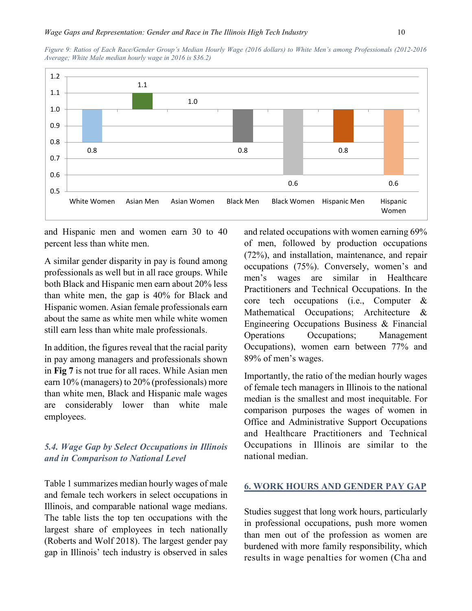



and Hispanic men and women earn 30 to 40 percent less than white men.

A similar gender disparity in pay is found among professionals as well but in all race groups. While both Black and Hispanic men earn about 20% less than white men, the gap is 40% for Black and Hispanic women. Asian female professionals earn about the same as white men while white women still earn less than white male professionals.

In addition, the figures reveal that the racial parity in pay among managers and professionals shown in **Fig 7** is not true for all races. While Asian men earn 10% (managers) to 20% (professionals) more than white men, Black and Hispanic male wages are considerably lower than white male employees.

## *5.4. Wage Gap by Select Occupations in Illinois and in Comparison to National Level*

Table 1 summarizes median hourly wages of male and female tech workers in select occupations in Illinois, and comparable national wage medians. The table lists the top ten occupations with the largest share of employees in tech nationally (Roberts and Wolf 2018). The largest gender pay gap in Illinois' tech industry is observed in sales

and related occupations with women earning 69% of men, followed by production occupations (72%), and installation, maintenance, and repair occupations (75%). Conversely, women's and men's wages are similar in Healthcare Practitioners and Technical Occupations. In the core tech occupations (i.e., Computer & Mathematical Occupations; Architecture & Engineering Occupations Business & Financial Operations Occupations; Management Occupations), women earn between 77% and 89% of men's wages.

Importantly, the ratio of the median hourly wages of female tech managers in Illinois to the national median is the smallest and most inequitable. For comparison purposes the wages of women in Office and Administrative Support Occupations and Healthcare Practitioners and Technical Occupations in Illinois are similar to the national median.

#### **6. WORK HOURS AND GENDER PAY GAP**

Studies suggest that long work hours, particularly in professional occupations, push more women than men out of the profession as women are burdened with more family responsibility, which results in wage penalties for women (Cha and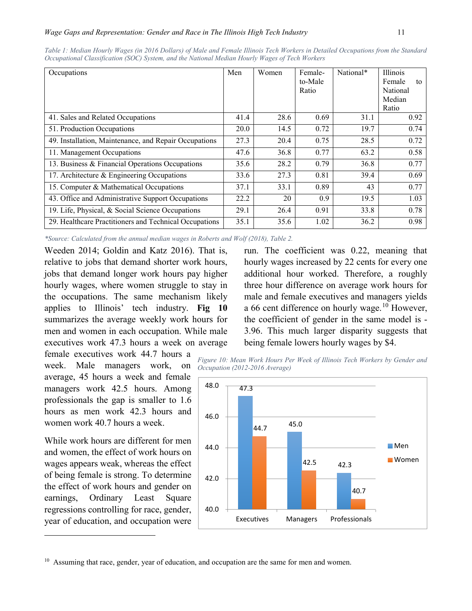| Occupations                                            | Men  | Women | Female-<br>to-Male<br>Ratio | National* | Illinois<br>Female<br>to<br>National<br>Median<br>Ratio |
|--------------------------------------------------------|------|-------|-----------------------------|-----------|---------------------------------------------------------|
| 41. Sales and Related Occupations                      | 41.4 | 28.6  | 0.69                        | 31.1      | 0.92                                                    |
| 51. Production Occupations                             | 20.0 | 14.5  | 0.72                        | 19.7      | 0.74                                                    |
| 49. Installation, Maintenance, and Repair Occupations  | 27.3 | 20.4  | 0.75                        | 28.5      | 0.72                                                    |
| 11. Management Occupations                             | 47.6 | 36.8  | 0.77                        | 63.2      | 0.58                                                    |
| 13. Business & Financial Operations Occupations        | 35.6 | 28.2  | 0.79                        | 36.8      | 0.77                                                    |
| 17. Architecture & Engineering Occupations             | 33.6 | 27.3  | 0.81                        | 39.4      | 0.69                                                    |
| 15. Computer & Mathematical Occupations                | 37.1 | 33.1  | 0.89                        | 43        | 0.77                                                    |
| 43. Office and Administrative Support Occupations      | 22.2 | 20    | 0.9                         | 19.5      | 1.03                                                    |
| 19. Life, Physical, & Social Science Occupations       | 29.1 | 26.4  | 0.91                        | 33.8      | 0.78                                                    |
| 29. Healthcare Practitioners and Technical Occupations | 35.1 | 35.6  | 1.02                        | 36.2      | 0.98                                                    |

*Table 1: Median Hourly Wages (in 2016 Dollars) of Male and Female Illinois Tech Workers in Detailed Occupations from the Standard Occupational Classification (SOC) System, and the National Median Hourly Wages of Tech Workers*

*\*Source: Calculated from the annual median wages in Roberts and Wolf (2018), Table 2.*

Weeden 2014; Goldin and Katz 2016). That is, relative to jobs that demand shorter work hours, jobs that demand longer work hours pay higher hourly wages, where women struggle to stay in the occupations. The same mechanism likely applies to Illinois' tech industry. **Fig 10** summarizes the average weekly work hours for men and women in each occupation. While male executives work 47.3 hours a week on average

female executives work 44.7 hours a week. Male managers work, on average, 45 hours a week and female managers work 42.5 hours. Among professionals the gap is smaller to 1.6 hours as men work 42.3 hours and women work 40.7 hours a week.

While work hours are different for men and women, the effect of work hours on wages appears weak, whereas the effect of being female is strong. To determine the effect of work hours and gender on earnings, Ordinary Least Square regressions controlling for race, gender, year of education, and occupation were

 $\overline{a}$ 

run. The coefficient was 0.22, meaning that hourly wages increased by 22 cents for every one additional hour worked. Therefore, a roughly three hour difference on average work hours for male and female executives and managers yields a 66 cent difference on hourly wage.<sup>[10](#page-13-0)</sup> However, the coefficient of gender in the same model is - 3.96. This much larger disparity suggests that being female lowers hourly wages by \$4.

*Figure 10: Mean Work Hours Per Week of Illinois Tech Workers by Gender and Occupation (2012-2016 Average)*



<span id="page-13-0"></span><sup>10</sup> Assuming that race, gender, year of education, and occupation are the same for men and women.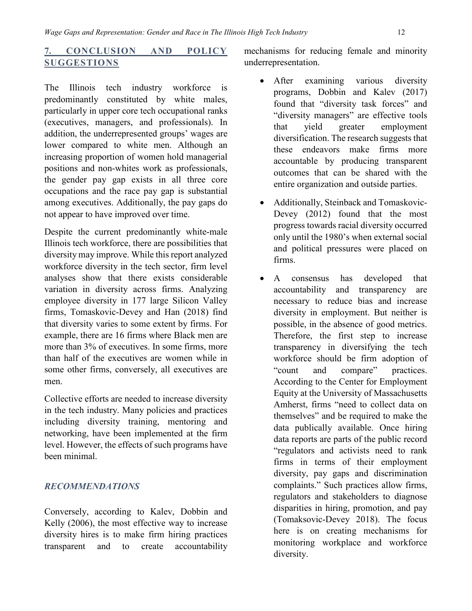## **7. CONCLUSION AND POLICY SUGGESTIONS**

The Illinois tech industry workforce is predominantly constituted by white males, particularly in upper core tech occupational ranks (executives, managers, and professionals). In addition, the underrepresented groups' wages are lower compared to white men. Although an increasing proportion of women hold managerial positions and non-whites work as professionals, the gender pay gap exists in all three core occupations and the race pay gap is substantial among executives. Additionally, the pay gaps do not appear to have improved over time.

Despite the current predominantly white-male Illinois tech workforce, there are possibilities that diversity may improve. While this report analyzed workforce diversity in the tech sector, firm level analyses show that there exists considerable variation in diversity across firms. Analyzing employee diversity in 177 large Silicon Valley firms, Tomaskovic-Devey and Han (2018) find that diversity varies to some extent by firms. For example, there are 16 firms where Black men are more than 3% of executives. In some firms, more than half of the executives are women while in some other firms, conversely, all executives are men.

Collective efforts are needed to increase diversity in the tech industry. Many policies and practices including diversity training, mentoring and networking, have been implemented at the firm level. However, the effects of such programs have been minimal.

## *RECOMMENDATIONS*

Conversely, according to Kalev, Dobbin and Kelly (2006), the most effective way to increase diversity hires is to make firm hiring practices transparent and to create accountability mechanisms for reducing female and minority underrepresentation.

- After examining various diversity programs, Dobbin and Kalev (2017) found that "diversity task forces" and "diversity managers" are effective tools that yield greater employment diversification. The research suggests that these endeavors make firms more accountable by producing transparent outcomes that can be shared with the entire organization and outside parties.
- Additionally, Steinback and Tomaskovic-Devey (2012) found that the most progress towards racial diversity occurred only until the 1980's when external social and political pressures were placed on firms.
- A consensus has developed that accountability and transparency are necessary to reduce bias and increase diversity in employment. But neither is possible, in the absence of good metrics. Therefore, the first step to increase transparency in diversifying the tech workforce should be firm adoption of "count and compare" practices. According to the Center for Employment Equity at the University of Massachusetts Amherst, firms "need to collect data on themselves" and be required to make the data publically available. Once hiring data reports are parts of the public record "regulators and activists need to rank firms in terms of their employment diversity, pay gaps and discrimination complaints." Such practices allow firms, regulators and stakeholders to diagnose disparities in hiring, promotion, and pay (Tomaksovic-Devey 2018). The focus here is on creating mechanisms for monitoring workplace and workforce diversity.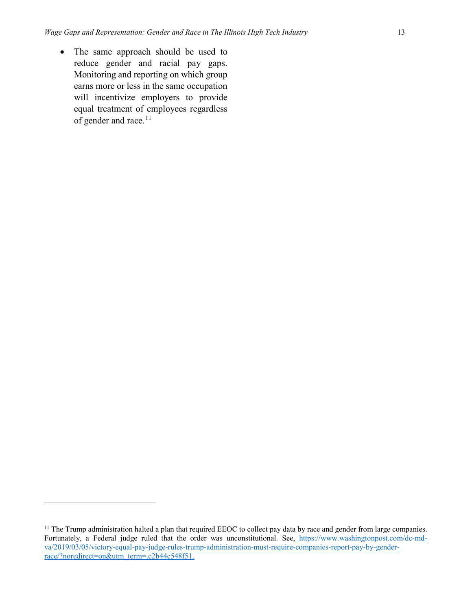• The same approach should be used to reduce gender and racial pay gaps. Monitoring and reporting on which group earns more or less in the same occupation will incentivize employers to provide equal treatment of employees regardless of gender and race.<sup>[11](#page-15-0)</sup>

 $\overline{a}$ 

<span id="page-15-0"></span> $11$  The Trump administration halted a plan that required EEOC to collect pay data by race and gender from large companies. Fortunately, a Federal judge ruled that the order was unconstitutional. See, [https://www.washingtonpost.com/dc-md](https://www.washingtonpost.com/dc-md-va/2019/03/05/victory-equal-pay-judge-rules-trump-administration-must-require-companies-report-pay-by-gender-race/?noredirect=on&utm_term=.c2b44c548f51)[va/2019/03/05/victory-equal-pay-judge-rules-trump-administration-must-require-companies-report-pay-by-gender](https://www.washingtonpost.com/dc-md-va/2019/03/05/victory-equal-pay-judge-rules-trump-administration-must-require-companies-report-pay-by-gender-race/?noredirect=on&utm_term=.c2b44c548f51)[race/?noredirect=on&utm\\_term=.c2b44c548f51.](https://www.washingtonpost.com/dc-md-va/2019/03/05/victory-equal-pay-judge-rules-trump-administration-must-require-companies-report-pay-by-gender-race/?noredirect=on&utm_term=.c2b44c548f51)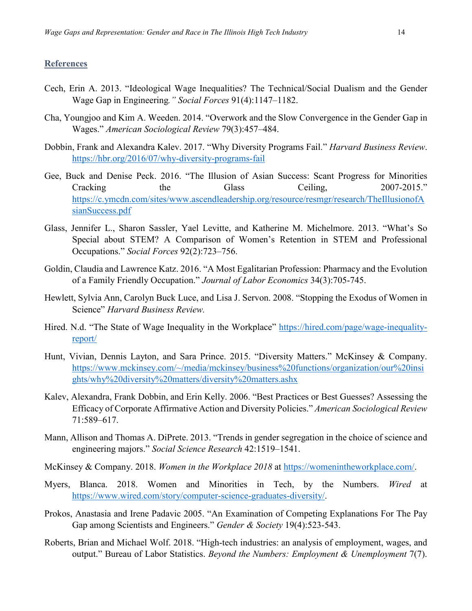#### **References**

- Cech, Erin A. 2013. "Ideological Wage Inequalities? The Technical/Social Dualism and the Gender Wage Gap in Engineering*." Social Forces* 91(4):1147–1182.
- Cha, Youngjoo and Kim A. Weeden. 2014. "Overwork and the Slow Convergence in the Gender Gap in Wages." *American Sociological Review* 79(3):457–484.
- Dobbin, Frank and Alexandra Kalev. 2017. "Why Diversity Programs Fail." *Harvard Business Review*. <https://hbr.org/2016/07/why-diversity-programs-fail>
- Gee, Buck and Denise Peck. 2016. "The Illusion of Asian Success: Scant Progress for Minorities Cracking the Glass Ceiling, 2007-2015." [https://c.ymcdn.com/sites/www.ascendleadership.org/resource/resmgr/research/TheIllusionofA](https://c.ymcdn.com/sites/www.ascendleadership.org/resource/resmgr/research/TheIllusionofAsianSuccess.pdf) [sianSuccess.pdf](https://c.ymcdn.com/sites/www.ascendleadership.org/resource/resmgr/research/TheIllusionofAsianSuccess.pdf)
- Glass, Jennifer L., Sharon Sassler, Yael Levitte, and Katherine M. Michelmore. 2013. "What's So Special about STEM? A Comparison of Women's Retention in STEM and Professional Occupations." *Social Forces* 92(2):723–756.
- Goldin, Claudia and Lawrence Katz. 2016. "A Most Egalitarian Profession: Pharmacy and the Evolution of a Family Friendly Occupation." *Journal of Labor Economics* 34(3):705-745.
- Hewlett, Sylvia Ann, Carolyn Buck Luce, and Lisa J. Servon. 2008. "Stopping the Exodus of Women in Science" *Harvard Business Review.*
- Hired. N.d. "The State of Wage Inequality in the Workplace" [https://hired.com/page/wage-inequality](https://hired.com/page/wage-inequality-report/)[report/](https://hired.com/page/wage-inequality-report/)
- Hunt, Vivian, Dennis Layton, and Sara Prince. 2015. "Diversity Matters." McKinsey & Company. [https://www.mckinsey.com/~/media/mckinsey/business%20functions/organization/our%20insi](https://www.mckinsey.com/%7E/media/mckinsey/business%20functions/organization/our%20insights/why%20diversity%20matters/diversity%20matters.ashx) [ghts/why%20diversity%20matters/diversity%20matters.ashx](https://www.mckinsey.com/%7E/media/mckinsey/business%20functions/organization/our%20insights/why%20diversity%20matters/diversity%20matters.ashx)
- Kalev, Alexandra, Frank Dobbin, and Erin Kelly. 2006. "Best Practices or Best Guesses? Assessing the Efficacy of Corporate Affirmative Action and Diversity Policies." *American Sociological Review* 71:589–617.
- Mann, Allison and Thomas A. DiPrete. 2013. "Trends in gender segregation in the choice of science and engineering majors." *Social Science Research* 42:1519–1541.
- McKinsey & Company. 2018. *Women in the Workplace 2018* at [https://womenintheworkplace.com/.](https://womenintheworkplace.com/)
- Myers, Blanca. 2018. Women and Minorities in Tech, by the Numbers. *Wired* at [https://www.wired.com/story/computer-science-graduates-diversity/.](https://www.wired.com/story/computer-science-graduates-diversity/)
- Prokos, Anastasia and Irene Padavic 2005. "An Examination of Competing Explanations For The Pay Gap among Scientists and Engineers." *Gender & Society* 19(4):523-543.
- Roberts, Brian and Michael Wolf. 2018. "High-tech industries: an analysis of employment, wages, and output." Bureau of Labor Statistics. *Beyond the Numbers: Employment & Unemployment* 7(7).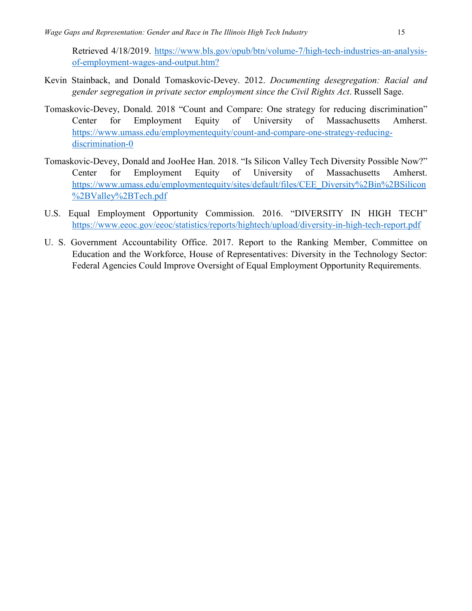Retrieved 4/18/2019. [https://www.bls.gov/opub/btn/volume-7/high-tech-industries-an-analysis](https://www.bls.gov/opub/btn/volume-7/high-tech-industries-an-analysis-of-employment-wages-and-output.htm?)[of-employment-wages-and-output.htm?](https://www.bls.gov/opub/btn/volume-7/high-tech-industries-an-analysis-of-employment-wages-and-output.htm?)

- Kevin Stainback, and Donald Tomaskovic-Devey. 2012. *Documenting desegregation: Racial and gender segregation in private sector employment since the Civil Rights Act*. Russell Sage.
- Tomaskovic-Devey, Donald. 2018 "Count and Compare: One strategy for reducing discrimination" Center for Employment Equity of University of Massachusetts Amherst. [https://www.umass.edu/employmentequity/count-and-compare-one-strategy-reducing](https://www.umass.edu/employmentequity/count-and-compare-one-strategy-reducing-discrimination-0)[discrimination-0](https://www.umass.edu/employmentequity/count-and-compare-one-strategy-reducing-discrimination-0)
- Tomaskovic-Devey, Donald and JooHee Han. 2018. "Is Silicon Valley Tech Diversity Possible Now?" Center for Employment Equity of University of Massachusetts Amherst. [https://www.umass.edu/employmentequity/sites/default/files/CEE\\_Diversity%2Bin%2BSilicon](https://www.umass.edu/employmentequity/sites/default/files/CEE_Diversity%2Bin%2BSilicon%2BValley%2BTech.pdf) [%2BValley%2BTech.pdf](https://www.umass.edu/employmentequity/sites/default/files/CEE_Diversity%2Bin%2BSilicon%2BValley%2BTech.pdf)
- U.S. Equal Employment Opportunity Commission. 2016. "DIVERSITY IN HIGH TECH" <https://www.eeoc.gov/eeoc/statistics/reports/hightech/upload/diversity-in-high-tech-report.pdf>
- U. S. Government Accountability Office. 2017. Report to the Ranking Member, Committee on Education and the Workforce, House of Representatives: Diversity in the Technology Sector: Federal Agencies Could Improve Oversight of Equal Employment Opportunity Requirements.